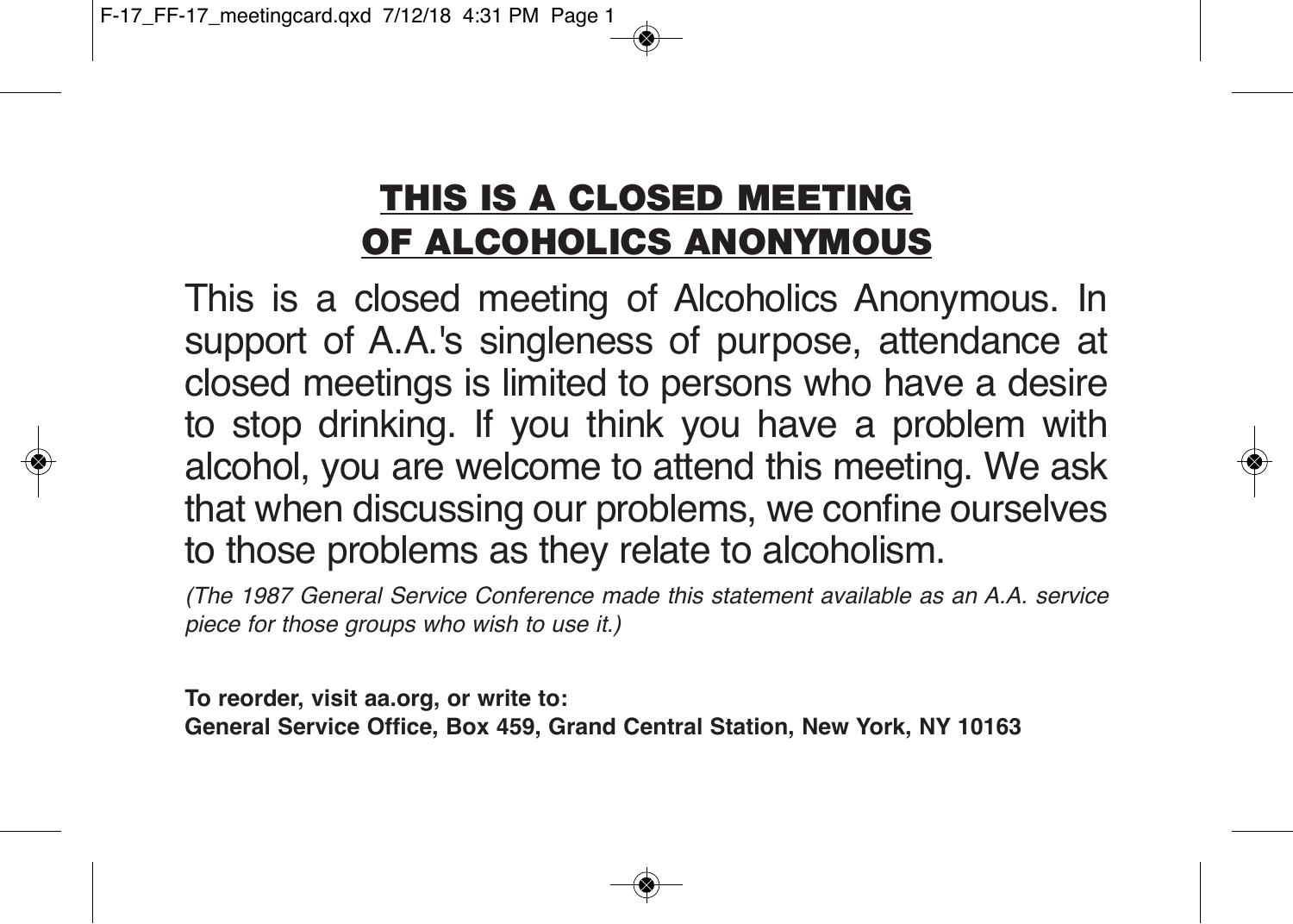## **THIS IS A CLOSED MEETING OF ALCOHOLICS ANONYMOUS**

This is a closed meeting of Alcoholics Anonymous. In support of A.A.'s singleness of purpose, attendance at closed meetings is limited to persons who have a desire to stop drinking. If you think you have a problem with alcohol, you are welcome to attend this meeting. We ask that when discussing our problems, we confine ourselves to those problems as they relate to alcoholism.

(The 1987 General Service Conference made this statement available as an A.A. service piece for those groups who wish to use it.)

**To reorder, visit aa.org, or write to:**

**General Service Office, Box 459, Grand Central Station, New York, NY 10163**